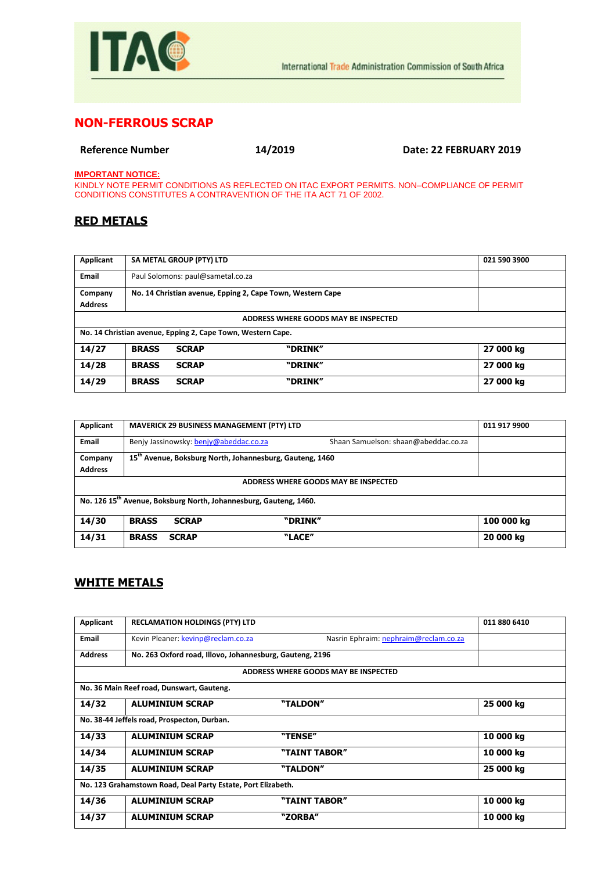

## **NON-FERROUS SCRAP**

**Reference Number 14/2019 Date: 22 FEBRUARY 2019**

**IMPORTANT NOTICE:**

KINDLY NOTE PERMIT CONDITIONS AS REFLECTED ON ITAC EXPORT PERMITS. NON–COMPLIANCE OF PERMIT CONDITIONS CONSTITUTES A CONTRAVENTION OF THE ITA ACT 71 OF 2002.

## **RED METALS**

| Applicant      |                                   | SA METAL GROUP (PTY) LTD |                                                             | 021 590 3900 |
|----------------|-----------------------------------|--------------------------|-------------------------------------------------------------|--------------|
| Email          | Paul Solomons: paul@sametal.co.za |                          |                                                             |              |
| Company        |                                   |                          | No. 14 Christian avenue, Epping 2, Cape Town, Western Cape  |              |
| <b>Address</b> |                                   |                          |                                                             |              |
|                |                                   |                          | ADDRESS WHERE GOODS MAY BE INSPECTED                        |              |
|                |                                   |                          | No. 14 Christian avenue, Epping 2, Cape Town, Western Cape. |              |
| 14/27          | <b>BRASS</b>                      | <b>SCRAP</b>             | "DRINK"                                                     | 27 000 kg    |
| 14/28          | <b>BRASS</b>                      | <b>SCRAP</b>             | "DRINK"                                                     | 27 000 kg    |
| 14/29          | <b>BRASS</b>                      | <b>SCRAP</b>             | "DRINK"                                                     | 27 000 kg    |

| Applicant                                                                     |              |                                        | <b>MAVERICK 29 BUSINESS MANAGEMENT (PTY) LTD</b>                     |                                      | 011 917 9900 |
|-------------------------------------------------------------------------------|--------------|----------------------------------------|----------------------------------------------------------------------|--------------------------------------|--------------|
| <b>Email</b>                                                                  |              | Benjy Jassinowsky: benjy@abeddac.co.za |                                                                      | Shaan Samuelson: shaan@abeddac.co.za |              |
| Company<br><b>Address</b>                                                     |              |                                        | 15 <sup>th</sup> Avenue, Boksburg North, Johannesburg, Gauteng, 1460 |                                      |              |
| ADDRESS WHERE GOODS MAY BE INSPECTED                                          |              |                                        |                                                                      |                                      |              |
| No. 126 15 <sup>th</sup> Avenue, Boksburg North, Johannesburg, Gauteng, 1460. |              |                                        |                                                                      |                                      |              |
| 14/30                                                                         | <b>BRASS</b> | <b>SCRAP</b>                           | "DRINK"                                                              |                                      | 100 000 kg   |
| 14/31                                                                         | <b>BRASS</b> | <b>SCRAP</b>                           | "LACE"                                                               |                                      | 20 000 kg    |

## **WHITE METALS**

| Applicant                                                    | <b>RECLAMATION HOLDINGS (PTY) LTD</b>                    |                                       | 011 880 6410 |
|--------------------------------------------------------------|----------------------------------------------------------|---------------------------------------|--------------|
| Email                                                        | Kevin Pleaner: kevinp@reclam.co.za                       | Nasrin Ephraim: nephraim@reclam.co.za |              |
| <b>Address</b>                                               | No. 263 Oxford road, Illovo, Johannesburg, Gauteng, 2196 |                                       |              |
|                                                              |                                                          | ADDRESS WHERE GOODS MAY BE INSPECTED  |              |
|                                                              | No. 36 Main Reef road, Dunswart, Gauteng.                |                                       |              |
| 14/32                                                        | <b>ALUMINIUM SCRAP</b>                                   | "TALDON"                              | 25 000 kg    |
| No. 38-44 Jeffels road, Prospecton, Durban.                  |                                                          |                                       |              |
| 14/33                                                        | <b>ALUMINIUM SCRAP</b>                                   | "TENSE"                               | 10 000 kg    |
| 14/34                                                        | <b>ALUMINIUM SCRAP</b>                                   | "TAINT TABOR"                         | 10 000 kg    |
| 14/35                                                        | <b>ALUMINIUM SCRAP</b>                                   | "TALDON"                              | 25 000 kg    |
| No. 123 Grahamstown Road, Deal Party Estate, Port Elizabeth. |                                                          |                                       |              |
| 14/36                                                        | <b>ALUMINIUM SCRAP</b>                                   | "TAINT TABOR"                         | 10 000 kg    |
| 14/37                                                        | <b>ALUMINIUM SCRAP</b>                                   | "ZORBA"                               | 10 000 kg    |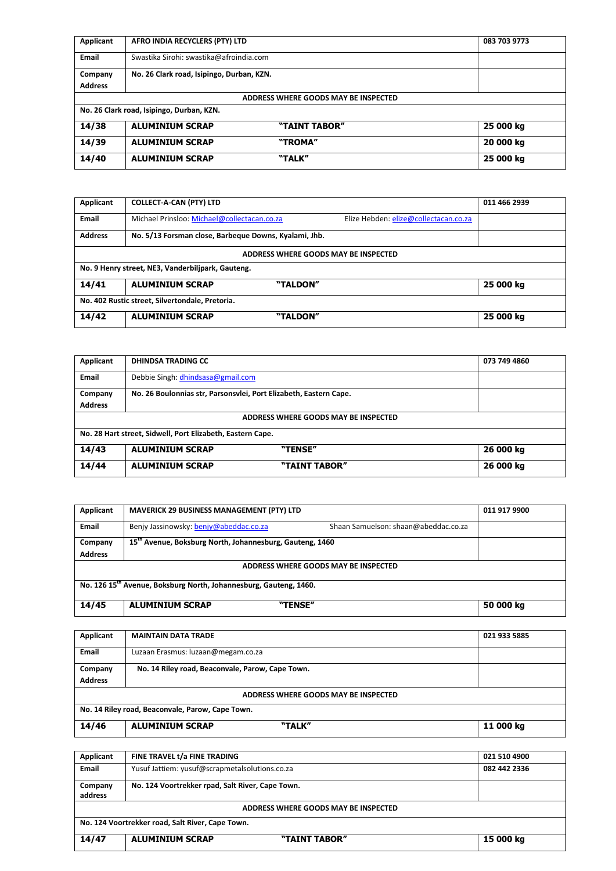| Applicant                                 | AFRO INDIA RECYCLERS (PTY) LTD            |                                      | 083 703 9773 |  |
|-------------------------------------------|-------------------------------------------|--------------------------------------|--------------|--|
| Email                                     | Swastika Sirohi: swastika@afroindia.com   |                                      |              |  |
| Company                                   | No. 26 Clark road, Isipingo, Durban, KZN. |                                      |              |  |
| <b>Address</b>                            |                                           |                                      |              |  |
|                                           |                                           | ADDRESS WHERE GOODS MAY BE INSPECTED |              |  |
| No. 26 Clark road, Isipingo, Durban, KZN. |                                           |                                      |              |  |
|                                           |                                           |                                      |              |  |
| 14/38                                     | <b>ALUMINIUM SCRAP</b>                    | "TAINT TABOR"                        | 25 000 kg    |  |
| 14/39                                     | <b>ALUMINIUM SCRAP</b>                    | "TROMA"                              | 20 000 kg    |  |

| Applicant                                       | <b>COLLECT-A-CAN (PTY) LTD</b>                        |                                      |                                       | 011 466 2939 |
|-------------------------------------------------|-------------------------------------------------------|--------------------------------------|---------------------------------------|--------------|
| Email                                           | Michael Prinsloo: Michael@collectacan.co.za           |                                      | Elize Hebden: elize@collectacan.co.za |              |
| <b>Address</b>                                  | No. 5/13 Forsman close, Barbeque Downs, Kyalami, Jhb. |                                      |                                       |              |
|                                                 |                                                       | ADDRESS WHERE GOODS MAY BE INSPECTED |                                       |              |
|                                                 | No. 9 Henry street, NE3, Vanderbiljpark, Gauteng.     |                                      |                                       |              |
| 14/41                                           | <b>ALUMINIUM SCRAP</b>                                | "TALDON"                             |                                       | 25 000 kg    |
| No. 402 Rustic street, Silvertondale, Pretoria. |                                                       |                                      |                                       |              |
| 14/42                                           | <b>ALUMINIUM SCRAP</b>                                | "TALDON"                             |                                       | 25 000 kg    |

| Applicant      | <b>DHINDSA TRADING CC</b>                                         |               | 073 749 4860 |  |  |
|----------------|-------------------------------------------------------------------|---------------|--------------|--|--|
| Email          | Debbie Singh: dhindsasa@gmail.com                                 |               |              |  |  |
| Company        | No. 26 Boulonnias str, Parsonsvlei, Port Elizabeth, Eastern Cape. |               |              |  |  |
| <b>Address</b> |                                                                   |               |              |  |  |
|                | ADDRESS WHERE GOODS MAY BE INSPECTED                              |               |              |  |  |
|                | No. 28 Hart street, Sidwell, Port Elizabeth, Eastern Cape.        |               |              |  |  |
| 14/43          | <b>ALUMINIUM SCRAP</b>                                            | "TENSE"       | 26 000 kg    |  |  |
| 14/44          | <b>ALUMINIUM SCRAP</b>                                            | "TAINT TABOR" | 26 000 kg    |  |  |

| Applicant                                                                     | <b>MAVERICK 29 BUSINESS MANAGEMENT (PTY) LTD</b>                     |                                      | 011 917 9900 |  |
|-------------------------------------------------------------------------------|----------------------------------------------------------------------|--------------------------------------|--------------|--|
| Email                                                                         | Benjy Jassinowsky: benjy@abeddac.co.za                               | Shaan Samuelson: shaan@abeddac.co.za |              |  |
| Company<br><b>Address</b>                                                     | 15 <sup>th</sup> Avenue, Boksburg North, Johannesburg, Gauteng, 1460 |                                      |              |  |
| ADDRESS WHERE GOODS MAY BE INSPECTED                                          |                                                                      |                                      |              |  |
| No. 126 15 <sup>th</sup> Avenue, Boksburg North, Johannesburg, Gauteng, 1460. |                                                                      |                                      |              |  |
| 14/45                                                                         | <b>ALUMINIUM SCRAP</b>                                               | "TENSE"                              | 50 000 kg    |  |

| Applicant                                        | <b>MAINTAIN DATA TRADE</b>                       | 021 933 5885 |  |  |
|--------------------------------------------------|--------------------------------------------------|--------------|--|--|
| Email                                            | Luzaan Erasmus: luzaan@megam.co.za               |              |  |  |
| Company                                          | No. 14 Riley road, Beaconvale, Parow, Cape Town. |              |  |  |
| <b>Address</b>                                   |                                                  |              |  |  |
| ADDRESS WHERE GOODS MAY BE INSPECTED             |                                                  |              |  |  |
| No. 14 Riley road, Beaconvale, Parow, Cape Town. |                                                  |              |  |  |
| 14/46                                            | <b>ALUMINIUM SCRAP</b><br>"TALK"                 | 11 000 kg    |  |  |

| Applicant                                        | FINE TRAVEL t/a FINE TRADING                     | 021 510 4900 |  |  |  |
|--------------------------------------------------|--------------------------------------------------|--------------|--|--|--|
| <b>Email</b>                                     | Yusuf Jattiem: yusuf@scrapmetalsolutions.co.za   | 082 442 2336 |  |  |  |
| Company                                          | No. 124 Voortrekker rpad, Salt River, Cape Town. |              |  |  |  |
| address                                          |                                                  |              |  |  |  |
| ADDRESS WHERE GOODS MAY BE INSPECTED             |                                                  |              |  |  |  |
| No. 124 Voortrekker road, Salt River, Cape Town. |                                                  |              |  |  |  |
| 14/47                                            | <b>ALUMINIUM SCRAP</b><br>"TAINT TABOR"          | 15 000 kg    |  |  |  |